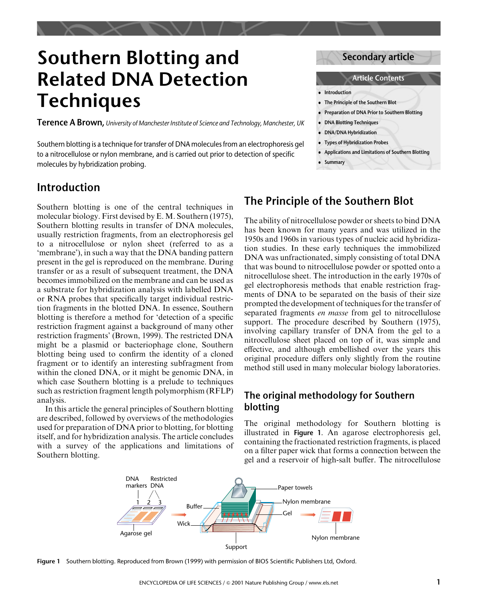# Southern Blotting and Related DNA Detection **Techniques**

Terence A Brown, University of Manchester Institute of Science and Technology, Manchester, UK

Southern blotting is a technique for transfer of DNA molecules from an electrophoresis gel to a nitrocellulose or nylon membrane, and is carried out prior to detection of specific molecules by hybridization probing.

## Introduction

Southern blotting is one of the central techniques in molecular biology. First devised by E. M. Southern (1975), Southern blotting results in transfer of DNA molecules, usually restriction fragments, from an electrophoresis gel to a nitrocellulose or nylon sheet (referred to as a 'membrane'), in such a way that the DNA banding pattern present in the gel is reproduced on the membrane. During transfer or as a result of subsequent treatment, the DNA becomes immobilized on the membrane and can be used as a substrate for hybridization analysis with labelled DNA or RNA probes that specifically target individual restriction fragments in the blotted DNA. In essence, Southern blotting is therefore a method for 'detection of a specific restriction fragment against a background of many other restriction fragments' (Brown,1999). The restricted DNA might be a plasmid or bacteriophage clone, Southern blotting being used to confirm the identity of a cloned fragment or to identify an interesting subfragment from within the cloned DNA, or it might be genomic DNA, in which case Southern blotting is a prelude to techniques such as restriction fragment length polymorphism (RFLP) analysis.

In this article the general principles of Southern blotting are described, followed by overviews of the methodologies used for preparation of DNA prior to blotting, for blotting itself, and for hybridization analysis. The article concludes with a survey of the applications and limitations of Southern blotting.

# Article Contents Secondary article . Introduction . The Principle of the Southern Blot . Preparation of DNA Prior to Southern Blotting . DNA Blotting Techniques . DNA/DNA Hybridization

- . Types of Hybridization Probes
- . Applications and Limitations of Southern Blotting
- . Summary

## The Principle of the Southern Blot

The ability of nitrocellulose powder or sheets to bind DNA has been known for many years and was utilized in the 1950s and 1960s in various types of nucleic acid hybridization studies. In these early techniques the immobilized DNA was unfractionated, simply consisting of total DNA that was bound to nitrocellulose powder or spotted onto a nitrocellulose sheet. The introduction in the early 1970s of gel electrophoresis methods that enable restriction fragments of DNA to be separated on the basis of their size prompted the development of techniques for the transfer of separated fragments en masse from gel to nitrocellulose support. The procedure described by Southern (1975), involving capillary transfer of DNA from the gel to a nitrocellulose sheet placed on top of it, was simple and effective, and although embellished over the years this original procedure differs only slightly from the routine method still used in many molecular biology laboratories.

#### The original methodology for Southern blotting

The original methodology for Southern blotting is illustrated in Figure 1. An agarose electrophoresis gel, containing the fractionated restriction fragments, is placed on a filter paper wick that forms a connection between the gel and a reservoir of high-salt buffer. The nitrocellulose



Figure 1 Southern blotting. Reproduced from Brown (1999) with permission of BIOS Scientific Publishers Ltd, Oxford.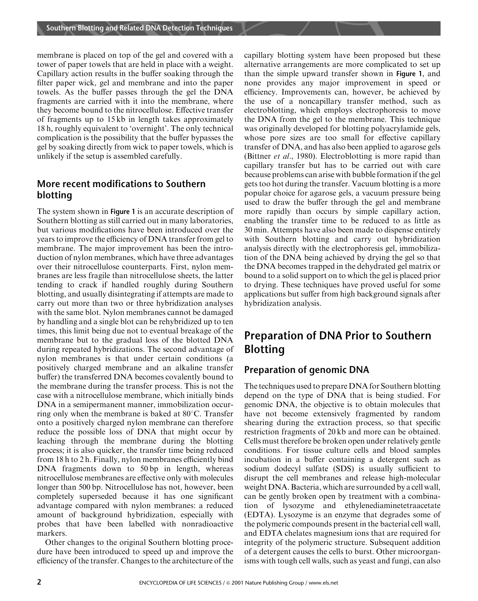membrane is placed on top of the gel and covered with a tower of paper towels that are held in place with a weight. Capillary action results in the buffer soaking through the filter paper wick, gel and membrane and into the paper towels. As the buffer passes through the gel the DNA fragments are carried with it into the membrane, where they become bound to the nitrocellulose. Effective transfer of fragments up to 15 kb in length takes approximately 18 h, roughly equivalent to 'overnight'. The only technical complication is the possibility that the buffer bypasses the gel by soaking directly from wick to paper towels,which is unlikely if the setup is assembled carefully.

#### More recent modifications to Southern blotting

The system shown in **Figure 1** is an accurate description of Southern blotting as still carried out in many laboratories, but various modifications have been introduced over the years to improve the efficiency of DNA transfer from gel to membrane. The major improvement has been the introduction of nylon membranes, which have three advantages over their nitrocellulose counterparts. First, nylon membranes are less fragile than nitrocellulose sheets, the latter tending to crack if handled roughly during Southern blotting, and usually disintegrating if attempts are made to carry out more than two or three hybridization analyses with the same blot. Nylon membranes cannot be damaged by handling and a single blot can be rehybridized up to ten times, this limit being due not to eventual breakage of the membrane but to the gradual loss of the blotted DNA during repeated hybridizations. The second advantage of nylon membranes is that under certain conditions (a positively charged membrane and an alkaline transfer buffer) the transferred DNA becomes covalently bound to the membrane during the transfer process. This is not the case with a nitrocellulose membrane, which initially binds DNA in a semipermanent manner, immobilization occurring only when the membrane is baked at  $80^{\circ}$ C. Transfer onto a positively charged nylon membrane can therefore reduce the possible loss of DNA that might occur by leaching through the membrane during the blotting process; it is also quicker, the transfer time being reduced from 18 h to 2 h. Finally, nylon membranes efficiently bind DNA fragments down to  $50 \text{ bp}$  in length, whereas nitrocellulose membranes are effective only with molecules longer than 500 bp. Nitrocellulose has not, however, been completely superseded because it has one significant advantage compared with nylon membranes: a reduced amount of background hybridization, especially with probes that have been labelled with nonradioactive markers.

Other changes to the original Southern blotting procedure have been introduced to speed up and improve the efficiency of the transfer. Changes to the architecture of the capillary blotting system have been proposed but these alternative arrangements are more complicated to set up than the simple upward transfer shown in Figure 1, and none provides any major improvement in speed or efficiency. Improvements can, however, be achieved by the use of a noncapillary transfer method, such as electroblotting, which employs electrophoresis to move the DNA from the gel to the membrane. This technique was originally developed for blotting polyacrylamide gels, whose pore sizes are too small for effective capillary transfer of DNA, and has also been applied to agarose gels (Bittner *et al.*, 1980). Electroblotting is more rapid than capillary transfer but has to be carried out with care because problems can arise with bubble formation if the gel gets too hot during the transfer. Vacuum blotting is a more popular choice for agarose gels, a vacuum pressure being used to draw the buffer through the gel and membrane more rapidly than occurs by simple capillary action, enabling the transfer time to be reduced to as little as 30 min. Attempts have also been made to dispense entirely with Southern blotting and carry out hybridization analysis directly with the electrophoresis gel, immobilization of the DNA being achieved by drying the gel so that the DNA becomes trapped in the dehydrated gel matrix or bound to a solid support on to which the gel is placed prior to drying. These techniques have proved useful for some applications but suffer from high background signals after hybridization analysis.

# Preparation of DNA Prior to Southern Blotting

## Preparation of genomic DNA

The techniques used to prepare DNA for Southern blotting depend on the type of DNA that is being studied. For genomic DNA, the objective is to obtain molecules that have not become extensively fragmented by random shearing during the extraction process, so that specific restriction fragments of 20 kb and more can be obtained. Cells must therefore be broken open under relatively gentle conditions. For tissue culture cells and blood samples incubation in a buffer containing a detergent such as sodium dodecyl sulfate (SDS) is usually sufficient to disrupt the cell membranes and release high-molecular weight DNA. Bacteria, which are surrounded by a cell wall, can be gently broken open by treatment with a combination of lysozyme and ethylenediaminetetraacetate (EDTA). Lysozyme is an enzyme that degrades some of the polymeric compounds present in the bacterial cell wall, and EDTA chelates magnesium ions that are required for integrity of the polymeric structure. Subsequent addition of a detergent causes the cells to burst. Other microorganisms with tough cell walls, such as yeast and fungi, can also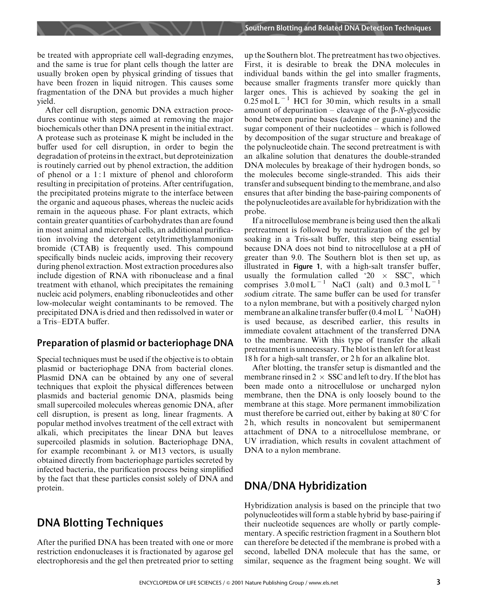be treated with appropriate cell wall-degrading enzymes, and the same is true for plant cells though the latter are usually broken open by physical grinding of tissues that have been frozen in liquid nitrogen. This causes some fragmentation of the DNA but provides a much higher yield.

After cell disruption, genomic DNA extraction procedures continue with steps aimed at removing the major biochemicals other than DNA present in the initial extract. A protease such as proteinase K might be included in the buffer used for cell disruption, in order to begin the degradation of proteins in the extract, but deproteinization is routinely carried out by phenol extraction, the addition of phenol or a 1 : 1 mixture of phenol and chloroform resulting in precipitation of proteins. After centrifugation, the precipitated proteins migrate to the interface between the organic and aqueous phases, whereas the nucleic acids remain in the aqueous phase. For plant extracts, which contain greater quantities of carbohydrates than are found in most animal and microbial cells, an additional purification involving the detergent cetyltrimethylammonium bromide (CTAB) is frequently used. This compound specifically binds nucleic acids, improving their recovery during phenol extraction. Most extraction procedures also include digestion of RNA with ribonuclease and a final treatment with ethanol,which precipitates the remaining nucleic acid polymers, enabling ribonucleotides and other low-molecular weight contaminants to be removed. The precipitated DNA is dried and then redissolved in water or a Tris–EDTA buffer.

#### Preparation of plasmid or bacteriophage DNA

Special techniques must be used if the objective is to obtain plasmid or bacteriophage DNA from bacterial clones. Plasmid DNA can be obtained by any one of several techniques that exploit the physical differences between plasmids and bacterial genomic DNA, plasmids being small supercoiled molecules whereas genomic DNA, after cell disruption, is present as long, linear fragments. A popular method involves treatment of the cell extract with alkali, which precipitates the linear DNA but leaves supercoiled plasmids in solution. Bacteriophage DNA, for example recombinant  $\lambda$  or M13 vectors, is usually obtained directly from bacteriophage particles secreted by infected bacteria, the purification process being simplified by the fact that these particles consist solely of DNA and protein.

# DNA Blotting Techniques

After the purified DNA has been treated with one or more restriction endonucleases it is fractionated by agarose gel electrophoresis and the gel then pretreated prior to setting

up the Southern blot. The pretreatment has two objectives. First, it is desirable to break the DNA molecules in individual bands within the gel into smaller fragments, because smaller fragments transfer more quickly than larger ones. This is achieved by soaking the gel in  $0.25 \text{ mol L}^{-1}$  HCl for 30 min, which results in a small amount of depurination – cleavage of the  $\beta$ -N-glycosidic bond between purine bases (adenine or guanine) and the sugar component of their nucleotides – which is followed by decomposition of the sugar structure and breakage of the polynucleotide chain. The second pretreatment is with an alkaline solution that denatures the double-stranded DNA molecules by breakage of their hydrogen bonds, so the molecules become single-stranded. This aids their transfer and subsequent binding to the membrane,and also ensures that after binding the base-pairing components of the polynucleotides are available for hybridization with the probe.

If a nitrocellulose membrane is being used then the alkali pretreatment is followed by neutralization of the gel by soaking in a Tris-salt buffer, this step being essential because DNA does not bind to nitrocellulose at a pH of greater than 9.0. The Southern blot is then set up, as illustrated in Figure 1, with a high-salt transfer buffer, usually the formulation called '20  $\times$  SSC', which comprises  $3.0 \text{ mol L}^{-1}$  NaCl (salt) and  $0.3 \text{ mol L}^{-1}$ sodium citrate. The same buffer can be used for transfer to a nylon membrane, but with a positively charged nylon membrane an alkaline transfer buffer  $(0.4 \text{ mol L}^{-1} \text{NaOH})$ is used because, as described earlier, this results in immediate covalent attachment of the transferred DNA to the membrane. With this type of transfer the alkali pretreatment is unnecessary. The blot is then left for at least 18 h for a high-salt transfer, or 2 h for an alkaline blot.

After blotting, the transfer setup is dismantled and the membrane rinsed in 2  $\times$  SSC and left to dry. If the blot has been made onto a nitrocellulose or uncharged nylon membrane, then the DNA is only loosely bound to the membrane at this stage. More permanent immobilization must therefore be carried out, either by baking at  $80^{\circ}$ C for 2h, which results in noncovalent but semipermanent attachment of DNA to a nitrocellulose membrane, or UV irradiation, which results in covalent attachment of DNA to a nylon membrane.

## DNA/DNA Hybridization

Hybridization analysis is based on the principle that two polynucleotides will form a stable hybrid by base-pairing if their nucleotide sequences are wholly or partly complementary. A specific restriction fragment in a Southern blot can therefore be detected if the membrane is probed with a second, labelled DNA molecule that has the same, or similar, sequence as the fragment being sought. We will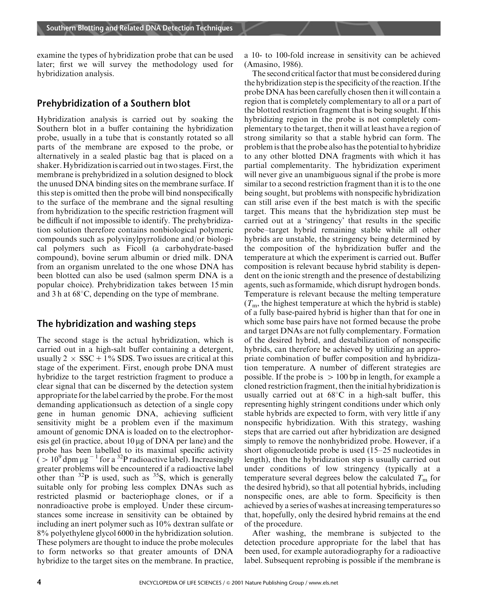examine the types of hybridization probe that can be used later; first we will survey the methodology used for hybridization analysis.

#### Prehybridization of a Southern blot

Hybridization analysis is carried out by soaking the Southern blot in a buffer containing the hybridization probe, usually in a tube that is constantly rotated so all parts of the membrane are exposed to the probe, or alternatively in a sealed plastic bag that is placed on a shaker. Hybridization is carried out in two stages. First, the membrane is prehybridized in a solution designed to block the unused DNA binding sites on the membrane surface. If this step is omitted then the probe will bind nonspecifically to the surface of the membrane and the signal resulting from hybridization to the specific restriction fragment will be difficult if not impossible to identify. The prehybridization solution therefore contains nonbiological polymeric compounds such as polyvinylpyrrolidone and/or biological polymers such as Ficoll (a carbohydrate-based compound), bovine serum albumin or dried milk. DNA from an organism unrelated to the one whose DNA has been blotted can also be used (salmon sperm DNA is a popular choice). Prehybridization takes between 15 min and 3 h at  $68^{\circ}$ C, depending on the type of membrane.

#### The hybridization and washing steps

The second stage is the actual hybridization, which is carried out in a high-salt buffer containing a detergent, usually  $2 \times SSC + 1\% SDS$ . Two issues are critical at this stage of the experiment. First, enough probe DNA must hybridize to the target restriction fragment to produce a clear signal that can be discerned by the detection system appropriate for the label carried by the probe. For the most demanding applicationsuch as detection of a single copy gene in human genomic DNA, achieving sufficient sensitivity might be a problem even if the maximum amount of genomic DNA is loaded on to the electrophoresis gel (in practice, about  $10 \mu$ g of DNA per lane) and the probe has been labelled to its maximal specific activity  $\epsilon > 10^9$  dpm  $\mu$ g<sup>-1</sup> for a <sup>32</sup>P radioactive label). Increasingly greater problems will be encountered if a radioactive label other than  $^{32}P$  is used, such as  $^{35}S$ , which is generally suitable only for probing less complex DNAs such as restricted plasmid or bacteriophage clones, or if a nonradioactive probe is employed. Under these circumstances some increase in sensitivity can be obtained by including an inert polymer such as 10% dextran sulfate or 8% polyethylene glycol 6000 in the hybridization solution. These polymers are thought to induce the probe molecules to form networks so that greater amounts of DNA hybridize to the target sites on the membrane. In practice,

a 10- to 100-fold increase in sensitivity can be achieved (Amasino,1986).

The second critical factor that must be considered during the hybridization step is the specificity of the reaction. If the probe DNA has been carefully chosen then it will contain a region that is completely complementary to all or a part of the blotted restriction fragment that is being sought. If this hybridizing region in the probe is not completely complementary to the target, then it will at least have a region of strong similarity so that a stable hybrid can form. The problem is that the probe also has the potential to hybridize to any other blotted DNA fragments with which it has partial complementarity. The hybridization experiment will never give an unambiguous signal if the probe is more similar to a second restriction fragment than it is to the one being sought, but problems with nonspecific hybridization can still arise even if the best match is with the specific target. This means that the hybridization step must be carried out at a 'stringency' that results in the specific probe–target hybrid remaining stable while all other hybrids are unstable, the stringency being determined by the composition of the hybridization buffer and the temperature at which the experiment is carried out. Buffer composition is relevant because hybrid stability is dependent on the ionic strength and the presence of destabilizing agents, such as formamide, which disrupt hydrogen bonds. Temperature is relevant because the melting temperature  $(T<sub>m</sub>)$ , the highest temperature at which the hybrid is stable) of a fully base-paired hybrid is higher than that for one in which some base pairs have not formed because the probe and target DNAs are not fully complementary. Formation of the desired hybrid,and destabilization of nonspecific hybrids, can therefore be achieved by utilizing an appropriate combination of buffer composition and hybridization temperature. A number of different strategies are possible. If the probe is  $> 100$  bp in length, for example a cloned restriction fragment, then the initial hybridization is usually carried out at  $68^{\circ}$ C in a high-salt buffer, this representing highly stringent conditions under which only stable hybrids are expected to form, with very little if any nonspecific hybridization. With this strategy, washing steps that are carried out after hybridization are designed simply to remove the nonhybridized probe. However, if a short oligonucleotide probe is used (15–25 nucleotides in length), then the hybridization step is usually carried out under conditions of low stringency (typically at a temperature several degrees below the calculated  $T<sub>m</sub>$  for the desired hybrid), so that all potential hybrids, including nonspecific ones, are able to form. Specificity is then achieved by a series of washes at increasing temperatures so that, hopefully, only the desired hybrid remains at the end of the procedure.

After washing, the membrane is subjected to the detection procedure appropriate for the label that has been used, for example autoradiography for a radioactive label. Subsequent reprobing is possible if the membrane is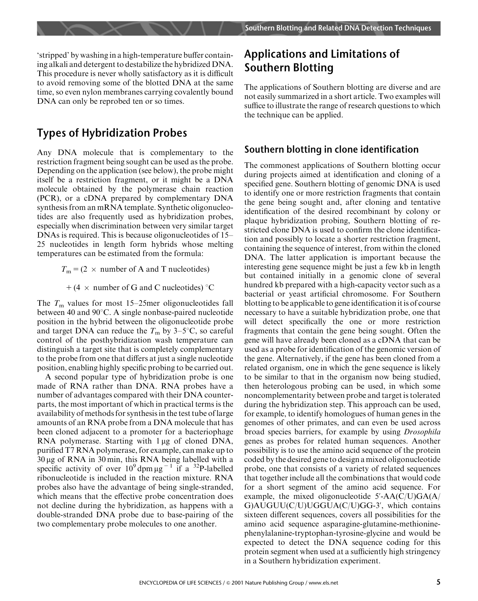'stripped' by washing in a high-temperature buffer containing alkali and detergent to destabilize the hybridized DNA. This procedure is never wholly satisfactory as it is difficult to avoid removing some of the blotted DNA at the same time, so even nylon membranes carrying covalently bound DNA can only be reprobed ten or so times.

## Types of Hybridization Probes

Any DNA molecule that is complementary to the restriction fragment being sought can be used as the probe. Depending on the application (see below), the probe might itself be a restriction fragment, or it might be a DNA molecule obtained by the polymerase chain reaction (PCR), or a cDNA prepared by complementary DNA synthesis from an mRNA template. Synthetic oligonucleotides are also frequently used as hybridization probes, especially when discrimination between very similar target DNAs is required. This is because oligonucleotides of 15– 25 nucleotides in length form hybrids whose melting temperatures can be estimated from the formula:

 $T_m$  = (2  $\times$  number of A and T nucleotides)

 $+(4 \times$  number of G and C nucleotides) °C

The  $T_{\rm m}$  values for most 15–25mer oligonucleotides fall between 40 and  $90^{\circ}$ C. A single nonbase-paired nucleotide position in the hybrid between the oligonucleotide probe and target DNA can reduce the  $T_m$  by 3–5°C, so careful control of the posthybridization wash temperature can distinguish a target site that is completely complementary to the probe from one that differs at just a single nucleotide position,enabling highly specific probing to be carried out.

A second popular type of hybridization probe is one made of RNA rather than DNA. RNA probes have a number of advantages compared with their DNA counterparts, the most important of which in practical terms is the availability of methods for synthesis in the test tube of large amounts of an RNA probe from a DNA molecule that has been cloned adjacent to a promoter for a bacteriophage RNA polymerase. Starting with  $1 \mu$ g of cloned DNA, purified T7 RNA polymerase, for example, can make up to  $30 \mu$ g of RNA in  $30 \text{ min}$ , this RNA being labelled with a specific activity of over  $10^9$  dpm  $\mu$ g<sup>-1</sup> if a <sup>32</sup>P-labelled ribonucleotide is included in the reaction mixture. RNA probes also have the advantage of being single-stranded, which means that the effective probe concentration does not decline during the hybridization, as happens with a double-stranded DNA probe due to base-pairing of the two complementary probe molecules to one another.

## Applications and Limitations of Southern Blotting

The applications of Southern blotting are diverse and are not easily summarized in a short article. Two examples will suffice to illustrate the range of research questions to which the technique can be applied.

#### Southern blotting in clone identification

The commonest applications of Southern blotting occur during projects aimed at identification and cloning of a specified gene. Southern blotting of genomic DNA is used to identify one or more restriction fragments that contain the gene being sought and, after cloning and tentative identification of the desired recombinant by colony or plaque hybridization probing, Southern blotting of restricted clone DNA is used to confirm the clone identification and possibly to locate a shorter restriction fragment, containing the sequence of interest, from within the cloned DNA. The latter application is important because the interesting gene sequence might be just a few kb in length but contained initially in a genomic clone of several hundred kb prepared with a high-capacity vector such as a bacterial or yeast artificial chromosome. For Southern blotting to be applicable to gene identification it is of course necessary to have a suitable hybridization probe, one that will detect specifically the one or more restriction fragments that contain the gene being sought. Often the gene will have already been cloned as a cDNA that can be used as a probe for identification of the genomic version of the gene. Alternatively, if the gene has been cloned from a related organism, one in which the gene sequence is likely to be similar to that in the organism now being studied, then heterologous probing can be used, in which some noncomplementarity between probe and target is tolerated during the hybridization step. This approach can be used, for example, to identify homologues of human genes in the genomes of other primates, and can even be used across broad species barriers, for example by using *Drosophila* genes as probes for related human sequences. Another possibility is to use the amino acid sequence of the protein coded by the desired gene to design a mixed oligonucleotide probe, one that consists of a variety of related sequences that together include all the combinations that would code for a short segment of the amino acid sequence. For example, the mixed oligonucleotide 5'-AA(C/U)GA(A/ G)AUGUU(C/U)UGGUA(C/U)GG-3', which contains sixteen different sequences, covers all possibilities for the amino acid sequence asparagine-glutamine-methioninephenylalanine-tryptophan-tyrosine-glycine and would be expected to detect the DNA sequence coding for this protein segment when used at a sufficiently high stringency in a Southern hybridization experiment.